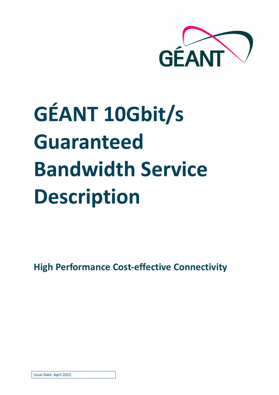

# **GÉANT 10Gbit/s Guaranteed Bandwidth Service Description**

**High Performance Cost-effective Connectivity**

Issue Date: April 2022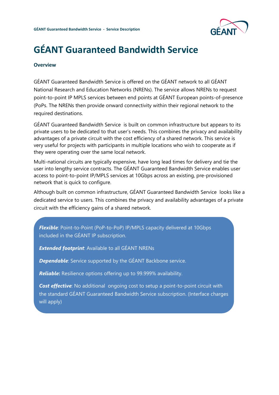

### **GÉANT Guaranteed Bandwidth Service**

#### **Overview**

GÉANT Guaranteed Bandwidth Service is offered on the GÉANT network to all GÉANT National Research and Education Networks (NRENs). The service allows NRENs to request point-to-point IP MPLS services between end points at GÉANT European points-of-presence (PoPs. The NRENs then provide onward connectivity within their regional network to the required destinations.

GÉANT Guaranteed Bandwidth Service is built on common infrastructure but appears to its private users to be dedicated to that user's needs. This combines the privacy and availability advantages of a private circuit with the cost efficiency of a shared network. This service is very useful for projects with participants in multiple locations who wish to cooperate as if they were operating over the same local network.

Multi-national circuits are typically expensive, have long lead times for delivery and tie the user into lengthy service contracts. The GÉANT Guaranteed Bandwidth Service enables user access to point-to-point IP/MPLS services at 10Gbps across an existing, pre-provisioned network that is quick to configure.

Although built on common infrastructure, GÉANT Guaranteed Bandwidth Service looks like a dedicated service to users. This combines the privacy and availability advantages of a private circuit with the efficiency gains of a shared network.

*Flexible*: Point-to-Point (PoP-to-PoP) IP/MPLS capacity delivered at 10Gbps included in the GÉANT IP subscription.

*Extended footprint*: Available to all GÉANT NRENs

**Dependable**: Service supported by the GÉANT Backbone service.

*Reliable***:** Resilience options offering up to 99.999% availability.

**Cost effective**: No additional ongoing cost to setup a point-to-point circuit with the standard GÉANT Guaranteed Bandwidth Service subscription. (Interface charges will apply)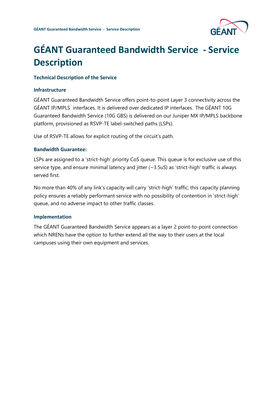

## **GÉANT Guaranteed Bandwidth Service - Service Description**

#### **Technical Description of the Service**

#### **Infrastructure**

GÉANT Guaranteed Bandwidth Service offers point-to-point Layer 3 connectivity across the GÉANT IP/MPLS interfaces. It is delivered over dedicated IP interfaces. The GÉANT 10G Guaranteed Bandwidth Service (10G GBS) is delivered on our Juniper MX IP/MPLS backbone platform, provisioned as RSVP-TE label-switched paths (LSPs).

Use of RSVP-TE allows for explicit routing of the circuit's path.

#### **Bandwidth Guarantee:**

LSPs are assigned to a 'strict-high' priority CoS queue. This queue is for exclusive use of this service type, and ensure minimal latency and jitter (~3.5uS) as 'strict-high' traffic is always served first.

No more than 40% of any link's capacity will carry 'strict-high' traffic; this capacity planning policy ensures a reliably performant service with no possibility of contention in 'strict-high' queue, and no adverse impact to other traffic classes.

#### **Implementation**

The GÉANT Guaranteed Bandwidth Service appears as a layer 2 point-to-point connection which NRENs have the option to further extend all the way to their users at the local campuses using their own equipment and services.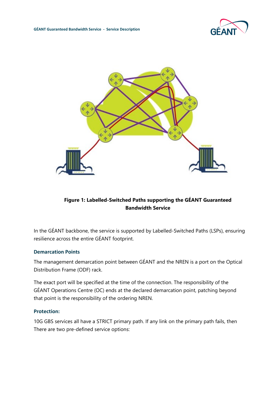

#### **Figure 1: Labelled-Switched Paths supporting the GÉANT Guaranteed Bandwidth Service**

In the GÉANT backbone, the service is supported by Labelled-Switched Paths (LSPs), ensuring resilience across the entire GÉANT footprint.

#### **Demarcation Points**

The management demarcation point between GÉANT and the NREN is a port on the Optical Distribution Frame (ODF) rack.

The exact port will be specified at the time of the connection. The responsibility of the GÉANT Operations Centre (OC) ends at the declared demarcation point, patching beyond that point is the responsibility of the ordering NREN.

#### **Protection:**

10G GBS services all have a STRICT primary path. If any link on the primary path fails, then There are two pre-defined service options: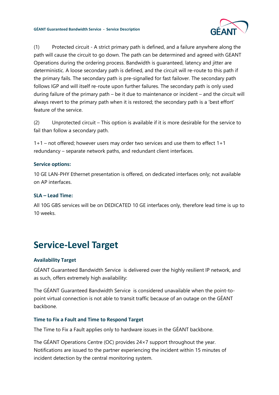

(1) Protected circuit - A strict primary path is defined, and a failure anywhere along the path will cause the circuit to go down. The path can be determined and agreed with GEANT Operations during the ordering process. Bandwidth is guaranteed, latency and jitter are deterministic. A loose secondary path is defined, and the circuit will re-route to this path if the primary fails. The secondary path is pre-signalled for fast failover. The secondary path follows IGP and will itself re-route upon further failures. The secondary path is only used during failure of the primary path – be it due to maintenance or incident – and the circuit will always revert to the primary path when it is restored; the secondary path is a 'best effort' feature of the service.

(2) Unprotected circuit – This option is available if it is more desirable for the service to fail than follow a secondary path.

1+1 – not offered; however users may order two services and use them to effect 1+1 redundancy – separate network paths, and redundant client interfaces.

#### **Service options:**

10 GE LAN-PHY Ethernet presentation is offered, on dedicated interfaces only; not available on AP interfaces.

#### **SLA – Lead Time:**

All 10G GBS services will be on DEDICATED 10 GE interfaces only, therefore lead time is up to 10 weeks.

## **Service-Level Target**

#### **Availability Target**

GÉANT Guaranteed Bandwidth Service is delivered over the highly resilient IP network, and as such, offers extremely high availability:

The GÉANT Guaranteed Bandwidth Service is considered unavailable when the point-topoint virtual connection is not able to transit traffic because of an outage on the GÉANT backbone.

#### **Time to Fix a Fault and Time to Respond Target**

The Time to Fix a Fault applies only to hardware issues in the GÉANT backbone.

The GÉANT Operations Centre (OC) provides 24×7 support throughout the year. Notifications are issued to the partner experiencing the incident within 15 minutes of incident detection by the central monitoring system.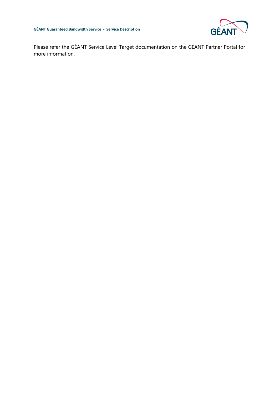

Please refer the GÉANT Service Level Target documentation on the GÉANT Partner Portal for more information.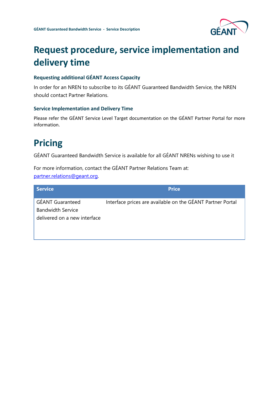

## **Request procedure, service implementation and delivery time**

#### **Requesting additional GÉANT Access Capacity**

In order for an NREN to subscribe to its GÉANT Guaranteed Bandwidth Service, the NREN should contact Partner Relations.

#### **Service Implementation and Delivery Time**

Please refer the GÉANT Service Level Target documentation on the GÉANT Partner Portal for more information.

## **Pricing**

GÉANT Guaranteed Bandwidth Service is available for all GÉANT NRENs wishing to use it

For more information, contact the GÉANT Partner Relations Team at: [partner.relations@geant.o](mailto:partner.relations@geant.)rg.

| <b>Service</b>                                                                      | <b>Price</b>                                               |
|-------------------------------------------------------------------------------------|------------------------------------------------------------|
| <b>GÉANT Guaranteed</b><br><b>Bandwidth Service</b><br>delivered on a new interface | Interface prices are available on the GÉANT Partner Portal |